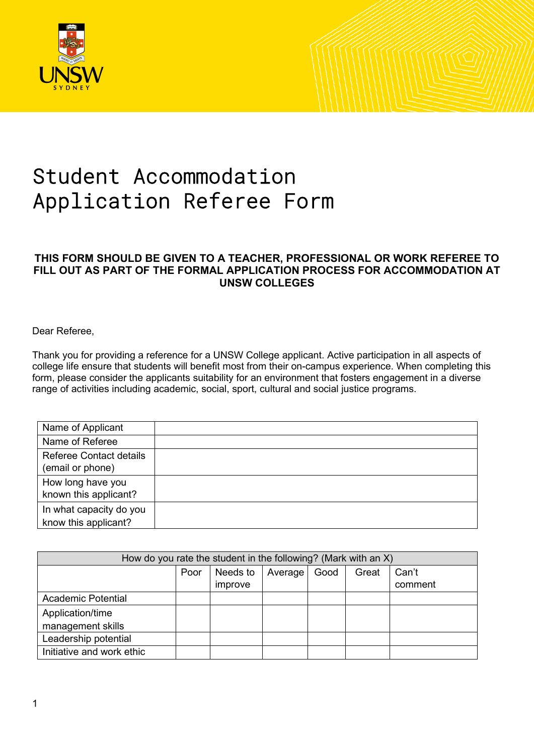

## Student Accommodation Application Referee Form

## **THIS FORM SHOULD BE GIVEN TO A TEACHER, PROFESSIONAL OR WORK REFEREE TO FILL OUT AS PART OF THE FORMAL APPLICATION PROCESS FOR ACCOMMODATION AT UNSW COLLEGES**

Dear Referee,

Thank you for providing a reference for a UNSW College applicant. Active participation in all aspects of college life ensure that students will benefit most from their on-campus experience. When completing this form, please consider the applicants suitability for an environment that fosters engagement in a diverse range of activities including academic, social, sport, cultural and social justice programs.

| Name of Applicant                                  |  |
|----------------------------------------------------|--|
| Name of Referee                                    |  |
| <b>Referee Contact details</b><br>(email or phone) |  |
| How long have you<br>known this applicant?         |  |
| In what capacity do you<br>know this applicant?    |  |

| How do you rate the student in the following? (Mark with an $X$ ) |      |          |           |      |       |         |  |  |  |
|-------------------------------------------------------------------|------|----------|-----------|------|-------|---------|--|--|--|
|                                                                   | Poor | Needs to | Average I | Good | Great | Can't   |  |  |  |
|                                                                   |      | improve  |           |      |       | comment |  |  |  |
| <b>Academic Potential</b>                                         |      |          |           |      |       |         |  |  |  |
| Application/time                                                  |      |          |           |      |       |         |  |  |  |
| management skills                                                 |      |          |           |      |       |         |  |  |  |
| Leadership potential                                              |      |          |           |      |       |         |  |  |  |
| Initiative and work ethic                                         |      |          |           |      |       |         |  |  |  |